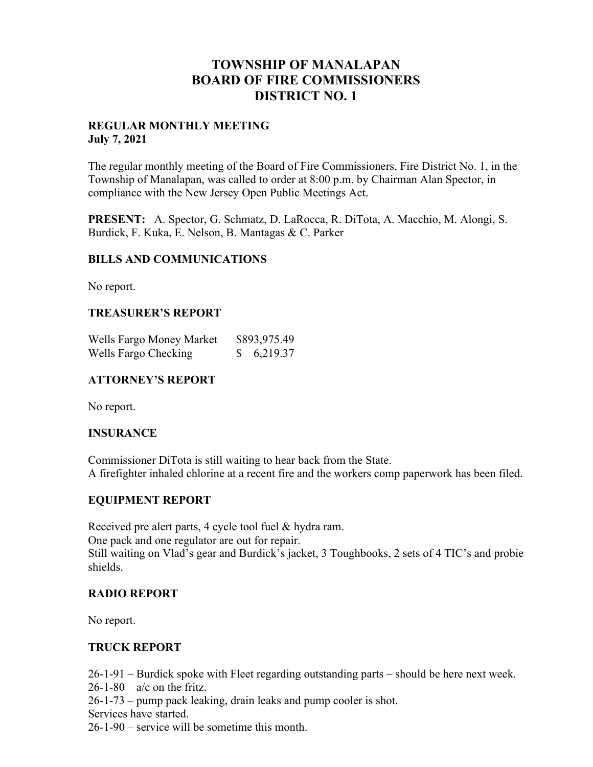## **TOWNSHIP OF MANALAPAN BOARD OF FIRE COMMISSIONERS DISTRICT NO. 1**

#### **REGULAR MONTHLY MEETING July 7, 2021**

The regular monthly meeting of the Board of Fire Commissioners, Fire District No. 1, in the Township of Manalapan, was called to order at 8:00 p.m. by Chairman Alan Spector, in compliance with the New Jersey Open Public Meetings Act.

**PRESENT:** A. Spector, G. Schmatz, D. LaRocca, R. DiTota, A. Macchio, M. Alongi, S. Burdick, F. Kuka, E. Nelson, B. Mantagas & C. Parker

#### **BILLS AND COMMUNICATIONS**

No report.

#### **TREASURER'S REPORT**

| Wells Fargo Money Market | \$893,975.49 |
|--------------------------|--------------|
| Wells Fargo Checking     | 6,219.37     |

#### **ATTORNEY'S REPORT**

No report.

#### **INSURANCE**

Commissioner DiTota is still waiting to hear back from the State. A firefighter inhaled chlorine at a recent fire and the workers comp paperwork has been filed.

### **EQUIPMENT REPORT**

Received pre alert parts, 4 cycle tool fuel & hydra ram. One pack and one regulator are out for repair. Still waiting on Vlad's gear and Burdick's jacket, 3 Toughbooks, 2 sets of 4 TIC's and probie shields.

### **RADIO REPORT**

No report.

### **TRUCK REPORT**

26-1-91 – Burdick spoke with Fleet regarding outstanding parts – should be here next week.  $26-1-80 - a/c$  on the fritz.

26-1-73 – pump pack leaking, drain leaks and pump cooler is shot.

Services have started.

26-1-90 – service will be sometime this month.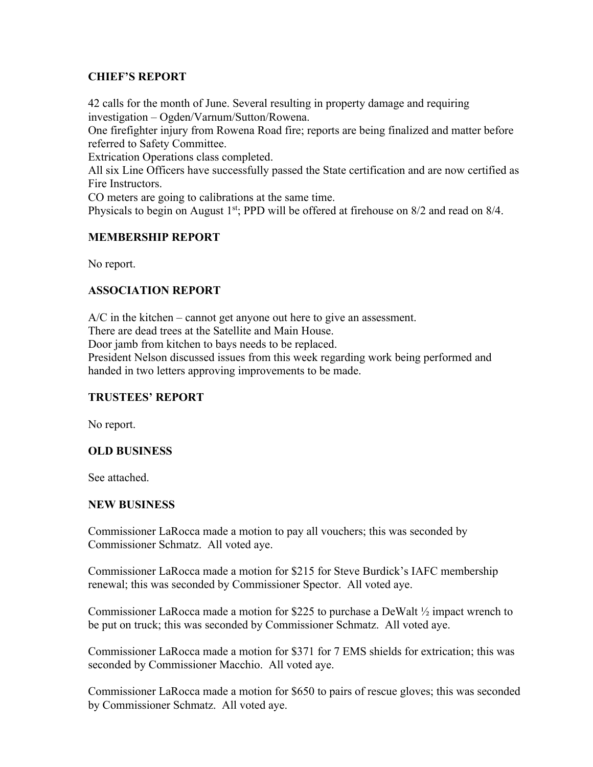### **CHIEF'S REPORT**

42 calls for the month of June. Several resulting in property damage and requiring investigation – Ogden/Varnum/Sutton/Rowena.

One firefighter injury from Rowena Road fire; reports are being finalized and matter before referred to Safety Committee.

Extrication Operations class completed.

All six Line Officers have successfully passed the State certification and are now certified as Fire Instructors.

CO meters are going to calibrations at the same time.

Physicals to begin on August 1<sup>st</sup>; PPD will be offered at firehouse on 8/2 and read on 8/4.

### **MEMBERSHIP REPORT**

No report.

### **ASSOCIATION REPORT**

A/C in the kitchen – cannot get anyone out here to give an assessment.

There are dead trees at the Satellite and Main House.

Door jamb from kitchen to bays needs to be replaced.

President Nelson discussed issues from this week regarding work being performed and handed in two letters approving improvements to be made.

### **TRUSTEES' REPORT**

No report.

### **OLD BUSINESS**

See attached.

### **NEW BUSINESS**

Commissioner LaRocca made a motion to pay all vouchers; this was seconded by Commissioner Schmatz. All voted aye.

Commissioner LaRocca made a motion for \$215 for Steve Burdick's IAFC membership renewal; this was seconded by Commissioner Spector. All voted aye.

Commissioner LaRocca made a motion for \$225 to purchase a DeWalt ½ impact wrench to be put on truck; this was seconded by Commissioner Schmatz. All voted aye.

Commissioner LaRocca made a motion for \$371 for 7 EMS shields for extrication; this was seconded by Commissioner Macchio. All voted aye.

Commissioner LaRocca made a motion for \$650 to pairs of rescue gloves; this was seconded by Commissioner Schmatz. All voted aye.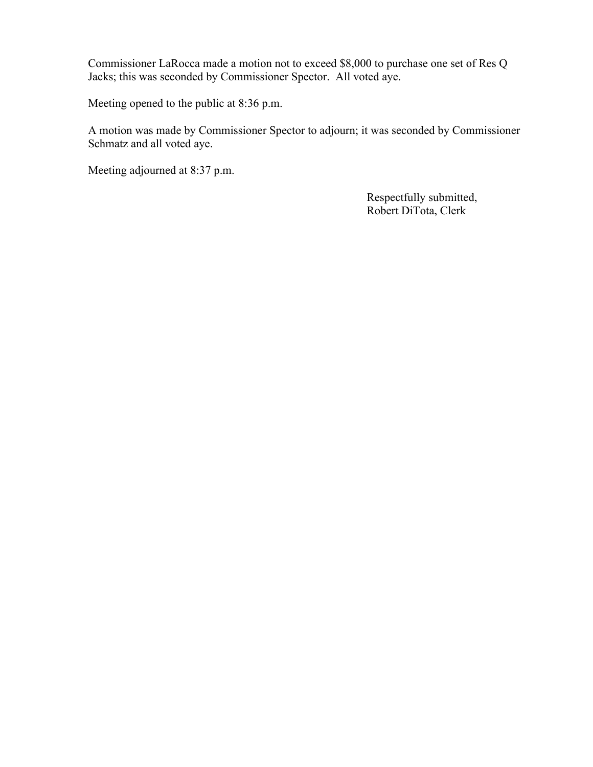Commissioner LaRocca made a motion not to exceed \$8,000 to purchase one set of Res Q Jacks; this was seconded by Commissioner Spector. All voted aye.

Meeting opened to the public at 8:36 p.m.

A motion was made by Commissioner Spector to adjourn; it was seconded by Commissioner Schmatz and all voted aye.

Meeting adjourned at 8:37 p.m.

 Respectfully submitted, Robert DiTota, Clerk